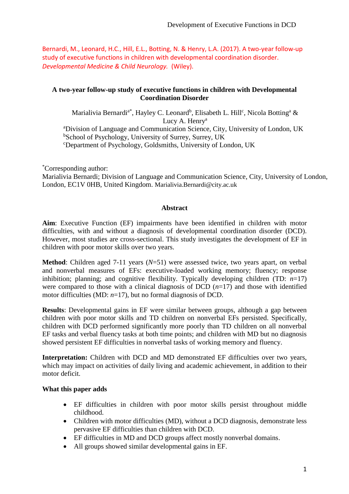Bernardi, M., Leonard, H.C., Hill, E.L., Botting, N. & Henry, L.A. (2017). A two-year follow-up study of executive functions in children with developmental coordination disorder. *Developmental Medicine & Child Neurology.* (Wiley).

## **A two-year follow-up study of executive functions in children with Developmental Coordination Disorder**

Marialivia Bernardi<sup>a\*</sup>, Hayley C. Leonard<sup>b</sup>, Elisabeth L. Hill<sup>c</sup>, Nicola Botting<sup>a</sup> & Lucy A. Henry<sup>a</sup> <sup>a</sup>Division of Language and Communication Science, City, University of London, UK <sup>b</sup>School of Psychology, University of Surrey, Surrey, UK <sup>c</sup>Department of Psychology, Goldsmiths, University of London, UK

\*Corresponding author:

Marialivia Bernardi; Division of Language and Communication Science, City, University of London, London, EC1V 0HB, United Kingdom. Marialivia.Bernardi@city.ac.uk

## **Abstract**

**Aim**: Executive Function (EF) impairments have been identified in children with motor difficulties, with and without a diagnosis of developmental coordination disorder (DCD). However, most studies are cross-sectional. This study investigates the development of EF in children with poor motor skills over two years.

**Method**: Children aged 7-11 years (*N*=51) were assessed twice, two years apart, on verbal and nonverbal measures of EFs: executive-loaded working memory; fluency; response inhibition; planning; and cognitive flexibility. Typically developing children (TD: *n*=17) were compared to those with a clinical diagnosis of DCD  $(n=17)$  and those with identified motor difficulties (MD:  $n=17$ ), but no formal diagnosis of DCD.

**Results**: Developmental gains in EF were similar between groups, although a gap between children with poor motor skills and TD children on nonverbal EFs persisted. Specifically, children with DCD performed significantly more poorly than TD children on all nonverbal EF tasks and verbal fluency tasks at both time points; and children with MD but no diagnosis showed persistent EF difficulties in nonverbal tasks of working memory and fluency.

**Interpretation:** Children with DCD and MD demonstrated EF difficulties over two years, which may impact on activities of daily living and academic achievement, in addition to their motor deficit.

## **What this paper adds**

- EF difficulties in children with poor motor skills persist throughout middle childhood.
- Children with motor difficulties (MD), without a DCD diagnosis, demonstrate less pervasive EF difficulties than children with DCD.
- EF difficulties in MD and DCD groups affect mostly nonverbal domains.
- All groups showed similar developmental gains in EF.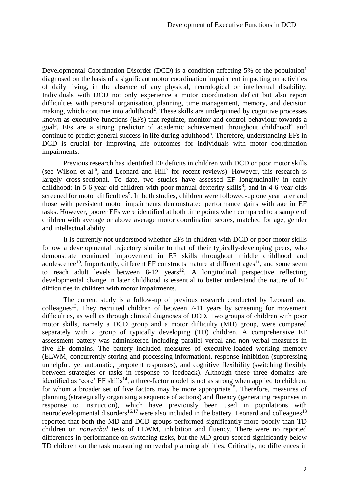Developmental Coordination Disorder (DCD) is a condition affecting 5% of the population<sup>1</sup> diagnosed on the basis of a significant motor coordination impairment impacting on activities of daily living, in the absence of any physical, neurological or intellectual disability. Individuals with DCD not only experience a motor coordination deficit but also report difficulties with personal organisation, planning, time management, memory, and decision making, which continue into adulthood<sup>2</sup>. These skills are underpinned by cognitive processes known as executive functions (EFs) that regulate, monitor and control behaviour towards a goal<sup>3</sup>. EFs are a strong predictor of academic achievement throughout childhood<sup>4</sup> and continue to predict general success in life during adulthood<sup>5</sup>. Therefore, understanding EFs in DCD is crucial for improving life outcomes for individuals with motor coordination impairments.

Previous research has identified EF deficits in children with DCD or poor motor skills (see Wilson et al.<sup>6</sup>, and Leonard and Hill<sup>7</sup> for recent reviews). However, this research is largely cross-sectional. To date, two studies have assessed EF longitudinally in early childhood: in 5-6 year-old children with poor manual dexterity skills<sup>8</sup>; and in 4-6 year-olds screened for motor difficulties<sup>9</sup>. In both studies, children were followed-up one year later and those with persistent motor impairments demonstrated performance gains with age in EF tasks. However, poorer EFs were identified at both time points when compared to a sample of children with average or above average motor coordination scores, matched for age, gender and intellectual ability.

It is currently not understood whether EFs in children with DCD or poor motor skills follow a developmental trajectory similar to that of their typically-developing peers, who demonstrate continued improvement in EF skills throughout middle childhood and adolescence<sup>10</sup>. Importantly, different EF constructs mature at different ages<sup>11</sup>, and some seem to reach adult levels between  $8-12$  years<sup>12</sup>. A longitudinal perspective reflecting developmental change in later childhood is essential to better understand the nature of EF difficulties in children with motor impairments.

The current study is a follow-up of previous research conducted by Leonard and colleagues<sup>13</sup>. They recruited children of between  $7-11$  years by screening for movement difficulties, as well as through clinical diagnoses of DCD. Two groups of children with poor motor skills, namely a DCD group and a motor difficulty (MD) group, were compared separately with a group of typically developing (TD) children. A comprehensive EF assessment battery was administered including parallel verbal and non-verbal measures in five EF domains. The battery included measures of executive-loaded working memory (ELWM; concurrently storing and processing information), response inhibition (suppressing unhelpful, yet automatic, prepotent responses), and cognitive flexibility (switching flexibly between strategies or tasks in response to feedback). Although these three domains are identified as 'core' EF skills<sup>14</sup>, a three-factor model is not as strong when applied to children, for whom a broader set of five factors may be more appropriate<sup>15</sup>. Therefore, measures of planning (strategically organising a sequence of actions) and fluency (generating responses in response to instruction), which have previously been used in populations with neurodevelopmental disorders<sup>16,17</sup> were also included in the battery. Leonard and colleagues<sup>13</sup> reported that both the MD and DCD groups performed significantly more poorly than TD children on *nonverbal* tests of ELWM, inhibition and fluency. There were no reported differences in performance on switching tasks, but the MD group scored significantly below TD children on the task measuring nonverbal planning abilities. Critically, no differences in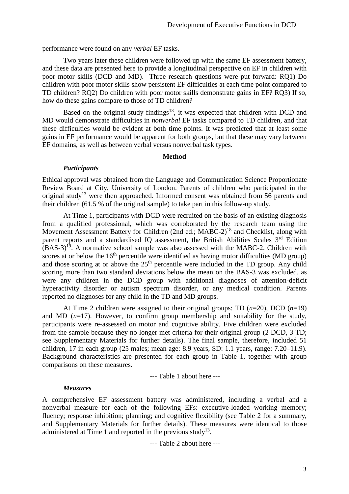performance were found on any *verbal* EF tasks.

Two years later these children were followed up with the same EF assessment battery, and these data are presented here to provide a longitudinal perspective on EF in children with poor motor skills (DCD and MD). Three research questions were put forward: RQ1) Do children with poor motor skills show persistent EF difficulties at each time point compared to TD children? RQ2) Do children with poor motor skills demonstrate gains in EF? RQ3) If so, how do these gains compare to those of TD children?

Based on the original study findings<sup>13</sup>, it was expected that children with DCD and MD would demonstrate difficulties in *nonverbal* EF tasks compared to TD children, and that these difficulties would be evident at both time points. It was predicted that at least some gains in EF performance would be apparent for both groups, but that these may vary between EF domains, as well as between verbal versus nonverbal task types.

#### **Method**

#### *Participants*

Ethical approval was obtained from the Language and Communication Science Proportionate Review Board at City, University of London. Parents of children who participated in the original study<sup>13</sup> were then approached. Informed consent was obtained from 56 parents and their children (61.5 % of the original sample) to take part in this follow-up study.

At Time 1, participants with DCD were recruited on the basis of an existing diagnosis from a qualified professional, which was corroborated by the research team using the Movement Assessment Battery for Children (2nd ed.; MABC-2)<sup>18</sup> and Checklist, along with parent reports and a standardised IQ assessment, the British Abilities Scales 3<sup>rd</sup> Edition  $(BAS-3)<sup>19</sup>$ . A normative school sample was also assessed with the MABC-2. Children with scores at or below the  $16<sup>th</sup>$  percentile were identified as having motor difficulties (MD group) and those scoring at or above the 25<sup>th</sup> percentile were included in the TD group. Any child scoring more than two standard deviations below the mean on the BAS-3 was excluded, as were any children in the DCD group with additional diagnoses of attention-deficit hyperactivity disorder or autism spectrum disorder, or any medical condition. Parents reported no diagnoses for any child in the TD and MD groups.

At Time 2 children were assigned to their original groups: TD (*n*=20), DCD (*n*=19) and MD (*n*=17). However, to confirm group membership and suitability for the study, participants were re-assessed on motor and cognitive ability. Five children were excluded from the sample because they no longer met criteria for their original group (2 DCD, 3 TD; see Supplementary Materials for further details). The final sample, therefore, included 51 children, 17 in each group (25 males; mean age: 8.9 years, SD: 1.1 years, range: 7.20–11.9). Background characteristics are presented for each group in Table 1, together with group comparisons on these measures.

--- Table 1 about here ---

#### *Measures*

A comprehensive EF assessment battery was administered, including a verbal and a nonverbal measure for each of the following EFs: executive-loaded working memory; fluency; response inhibition; planning; and cognitive flexibility (see Table 2 for a summary, and Supplementary Materials for further details). These measures were identical to those administered at Time 1 and reported in the previous study<sup>13</sup>.

--- Table 2 about here ---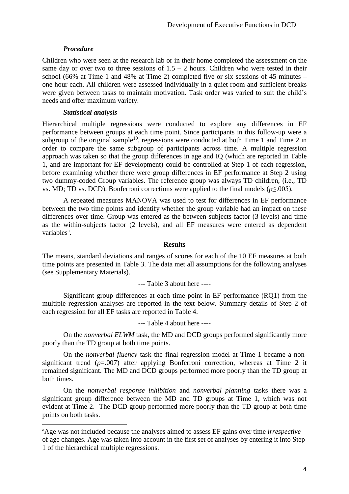## *Procedure*

 $\overline{a}$ 

Children who were seen at the research lab or in their home completed the assessment on the same day or over two to three sessions of  $1.5 - 2$  hours. Children who were tested in their school (66% at Time 1 and 48% at Time 2) completed five or six sessions of 45 minutes – one hour each. All children were assessed individually in a quiet room and sufficient breaks were given between tasks to maintain motivation. Task order was varied to suit the child's needs and offer maximum variety.

## *Statistical analysis*

Hierarchical multiple regressions were conducted to explore any differences in EF performance between groups at each time point. Since participants in this follow-up were a subgroup of the original sample<sup>10</sup>, regressions were conducted at both Time 1 and Time 2 in order to compare the same subgroup of participants across time. A multiple regression approach was taken so that the group differences in age and IQ (which are reported in Table 1, and are important for EF development) could be controlled at Step 1 of each regression, before examining whether there were group differences in EF performance at Step 2 using two dummy-coded Group variables. The reference group was always TD children, (i.e., TD vs. MD; TD vs. DCD). Bonferroni corrections were applied to the final models (*p*≤.005).

A repeated measures MANOVA was used to test for differences in EF performance between the two time points and identify whether the group variable had an impact on these differences over time. Group was entered as the between-subjects factor (3 levels) and time as the within-subjects factor (2 levels), and all EF measures were entered as dependent variables<sup>a</sup>.

## **Results**

The means, standard deviations and ranges of scores for each of the 10 EF measures at both time points are presented in Table 3. The data met all assumptions for the following analyses (see Supplementary Materials).

--- Table 3 about here ----

Significant group differences at each time point in EF performance (RQ1) from the multiple regression analyses are reported in the text below. Summary details of Step 2 of each regression for all EF tasks are reported in Table 4.

--- Table 4 about here ----

On the *nonverbal ELWM* task, the MD and DCD groups performed significantly more poorly than the TD group at both time points.

On the *nonverbal fluency* task the final regression model at Time 1 became a nonsignificant trend (*p*=.007) after applying Bonferroni correction, whereas at Time 2 it remained significant. The MD and DCD groups performed more poorly than the TD group at both times.

On the *nonverbal response inhibition* and *nonverbal planning* tasks there was a significant group difference between the MD and TD groups at Time 1, which was not evident at Time 2. The DCD group performed more poorly than the TD group at both time points on both tasks.

<sup>a</sup>Age was not included because the analyses aimed to assess EF gains over time *irrespective* of age changes. Age was taken into account in the first set of analyses by entering it into Step 1 of the hierarchical multiple regressions.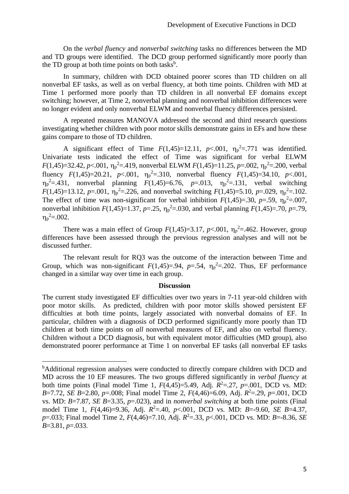On the *verbal fluency* and *nonverbal switching* tasks no differences between the MD and TD groups were identified. The DCD group performed significantly more poorly than the TD group at both time points on both tasks<sup>b</sup>.

In summary, children with DCD obtained poorer scores than TD children on all nonverbal EF tasks, as well as on verbal fluency, at both time points. Children with MD at Time 1 performed more poorly than TD children in all nonverbal EF domains except switching; however, at Time 2, nonverbal planning and nonverbal inhibition differences were no longer evident and only nonverbal ELWM and nonverbal fluency differences persisted.

A repeated measures MANOVA addressed the second and third research questions investigating whether children with poor motor skills demonstrate gains in EFs and how these gains compare to those of TD children.

A significant effect of Time  $F(1,45)=12.11$ ,  $p<.001$ ,  $\eta_p^2=.771$  was identified. Univariate tests indicated the effect of Time was significant for verbal ELWM *F*(1,45)=32.42, *p*<.001,  $\eta_p^2$ =.419, nonverbal ELWM *F*(1,45)=11.25, *p*=.002,  $\eta_p^2$ =.200, verbal fluency  $F(1,45)=20.21$ ,  $p<.001$ ,  $\eta_p^2=.310$ , nonverbal fluency  $F(1,45)=34.10$ ,  $p<.001$ ,  $\eta_p^2 = 431$ , nonverbal planning  $F(1,45)=6.76$ ,  $p=0.013$ ,  $\eta_p^2 = 131$ , verbal switching *F*(1,45)=13.12, *p*=.001,  $\eta_p^2$ =.226, and nonverbal switching *F*(1,45)=5.10, *p*=.029,  $\eta_p^2$ =.102. The effect of time was non-significant for verbal inhibition  $F(1,45)=30$ ,  $p=.59$ ,  $\eta_p^2=.007$ , nonverbal inhibition  $F(1,45)=1.37$ ,  $p=.25$ ,  $\eta_p^2=.030$ , and verbal planning  $F(1,45)=.70$ ,  $p=.79$ ,  $\eta_{\rm p}^{\rm 2} = .002$ .

There was a main effect of Group  $F(1,45)=3.17$ ,  $p<.001$ ,  $\eta_p^2=.462$ . However, group differences have been assessed through the previous regression analyses and will not be discussed further.

The relevant result for RQ3 was the outcome of the interaction between Time and Group, which was non-significant  $F(1,45)=0.94$ ,  $p=.54$ ,  $\eta_p^2=.202$ . Thus, EF performance changed in a similar way over time in each group.

#### **Discussion**

The current study investigated EF difficulties over two years in 7-11 year-old children with poor motor skills. As predicted, children with poor motor skills showed persistent EF difficulties at both time points, largely associated with nonverbal domains of EF. In particular, children with a diagnosis of DCD performed significantly more poorly than TD children at both time points on *all* nonverbal measures of EF, and also on verbal fluency. Children without a DCD diagnosis, but with equivalent motor difficulties (MD group), also demonstrated poorer performance at Time 1 on nonverbal EF tasks (all nonverbal EF tasks

 $\overline{a}$ 

<sup>&</sup>lt;sup>b</sup>Additional regression analyses were conducted to directly compare children with DCD and MD across the 10 EF measures. The two groups differed significantly in *verbal fluency* at both time points (Final model Time 1,  $F(4,45)=5.49$ , Adj.  $R^2 = .27$ ,  $p = .001$ , DCD vs. MD: *B*=7.72, *SE B*=2.80*, p*=.008; Final model Time 2, *F*(4,46)=6.09, Adj. *R* <sup>2</sup>=.29, *p*=.001, DCD vs. MD: *B*=7.87, *SE B*=3.35*, p*=.023), and in *nonverbal switching* at both time points (Final model Time 1, *F*(4,46)=9.36, Adj. *R* <sup>2</sup>=.40, *p*<.001, DCD vs. MD: *B*=-9.60, *SE B*=4.37*, p*=.033; Final model Time 2, *F*(4,46)=7.10, Adj. *R* <sup>2</sup>=.33, *p*<.001, DCD vs. MD: *B*=-8.36, *SE B*=3.81*, p*=.033.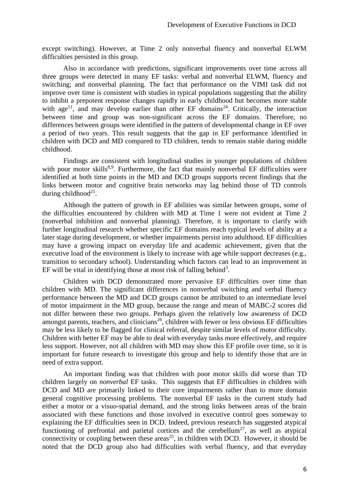except switching). However, at Time 2 only nonverbal fluency and nonverbal ELWM difficulties persisted in this group.

Also in accordance with predictions, significant improvements over time across all three groups were detected in many EF tasks: verbal and nonverbal ELWM, fluency and switching; and nonverbal planning. The fact that performance on the VIMI task did not improve over time is consistent with studies in typical populations suggesting that the ability to inhibit a prepotent response changes rapidly in early childhood but becomes more stable with age<sup>11</sup>, and may develop earlier than other EF domains<sup>24</sup>. Critically, the interaction between time and group was non-significant across the EF domains. Therefore, no differences between groups were identified in the pattern of developmental change in EF over a period of two years. This result suggests that the gap in EF performance identified in children with DCD and MD compared to TD children, tends to remain stable during middle childhood.

Findings are consistent with longitudinal studies in younger populations of children with poor motor skills<sup>8,9</sup>. Furthermore, the fact that mainly nonverbal EF difficulties were identified at both time points in the MD and DCD groups supports recent findings that the links between motor and cognitive brain networks may lag behind those of TD controls during childhood<sup>25</sup>.

Although the pattern of growth in EF abilities was similar between groups, some of the difficulties encountered by children with MD at Time 1 were not evident at Time 2 (nonverbal inhibition and nonverbal planning). Therefore, it is important to clarify with further longitudinal research whether specific EF domains reach typical levels of ability at a later stage during development, or whether impairments persist into adulthood. EF difficulties may have a growing impact on everyday life and academic achievement, given that the executive load of the environment is likely to increase with age while support decreases (e.g., transition to secondary school). Understanding which factors can lead to an improvement in EF will be vital in identifying those at most risk of falling behind<sup>3</sup>.

Children with DCD demonstrated more pervasive EF difficulties over time than children with MD. The significant differences in nonverbal switching and verbal fluency performance between the MD and DCD groups cannot be attributed to an intermediate level of motor impairment in the MD group, because the range and mean of MABC-2 scores did not differ between these two groups. Perhaps given the relatively low awareness of DCD amongst parents, teachers, and clinicians<sup>26</sup>, children with fewer or less obvious EF difficulties may be less likely to be flagged for clinical referral, despite similar levels of motor difficulty. Children with better EF may be able to deal with everyday tasks more effectively, and require less support. However, not all children with MD may show this EF profile over time, so it is important for future research to investigate this group and help to identify those that are in need of extra support.

An important finding was that children with poor motor skills did worse than TD children largely on *nonverbal* EF tasks. This suggests that EF difficulties in children with DCD and MD are primarily linked to their core impairments rather than to more domain general cognitive processing problems. The nonverbal EF tasks in the current study had either a motor or a visuo-spatial demand, and the strong links between areas of the brain associated with these functions and those involved in executive control goes someway to explaining the EF difficulties seen in DCD. Indeed, previous research has suggested atypical functioning of prefrontal and parietal cortices and the cerebellum<sup>27</sup>, as well as atypical connectivity or coupling between these areas<sup>25</sup>, in children with DCD. However, it should be noted that the DCD group also had difficulties with verbal fluency, and that everyday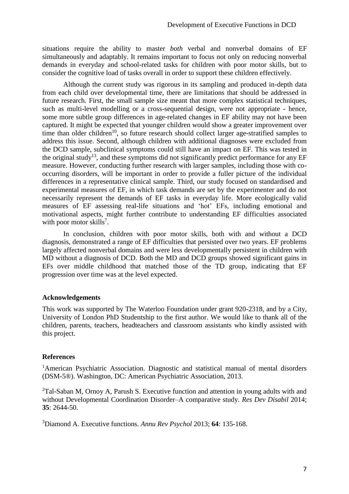situations require the ability to master *both* verbal and nonverbal domains of EF simultaneously and adaptably. It remains important to focus not only on reducing nonverbal demands in everyday and school-related tasks for children with poor motor skills, but to consider the cognitive load of tasks overall in order to support these children effectively.

Although the current study was rigorous in its sampling and produced in-depth data from each child over developmental time, there are limitations that should be addressed in future research. First, the small sample size meant that more complex statistical techniques, such as multi-level modelling or a cross-sequential design, were not appropriate - hence, some more subtle group differences in age-related changes in EF ability may not have been captured. It might be expected that younger children would show a greater improvement over time than older children<sup>10</sup>, so future research should collect larger age-stratified samples to address this issue. Second, although children with additional diagnoses were excluded from the DCD sample, subclinical symptoms could still have an impact on EF. This was tested in the original study<sup>13</sup>, and these symptoms did not significantly predict performance for any  $EF$ measure. However, conducting further research with larger samples, including those with cooccurring disorders, will be important in order to provide a fuller picture of the individual differences in a representative clinical sample. Third, our study focused on standardised and experimental measures of EF, in which task demands are set by the experimenter and do not necessarily represent the demands of EF tasks in everyday life. More ecologically valid measures of EF assessing real-life situations and 'hot' EFs, including emotional and motivational aspects, might further contribute to understanding EF difficulties associated with poor motor skills<sup>7</sup>.

In conclusion, children with poor motor skills, both with and without a DCD diagnosis, demonstrated a range of EF difficulties that persisted over two years. EF problems largely affected nonverbal domains and were less developmentally persistent in children with MD without a diagnosis of DCD. Both the MD and DCD groups showed significant gains in EFs over middle childhood that matched those of the TD group, indicating that EF progression over time was at the level expected.

## **Acknowledgements**

This work was supported by The Waterloo Foundation under grant 920-2318, and by a City, University of London PhD Studentship to the first author. We would like to thank all of the children, parents, teachers, headteachers and classroom assistants who kindly assisted with this project.

## **References**

<sup>1</sup>American Psychiatric Association. Diagnostic and statistical manual of mental disorders (DSM-5®). Washington, DC: American Psychiatric Association, 2013.

<sup>2</sup>Tal-Saban M, Ornoy A, Parush S. Executive function and attention in young adults with and without Developmental Coordination Disorder–A comparative study. *Res Dev Disabil* 2014; **35**: 2644-50.

<sup>3</sup>Diamond A. Executive functions. *Annu Rev Psychol* 2013; **64**: 135-168.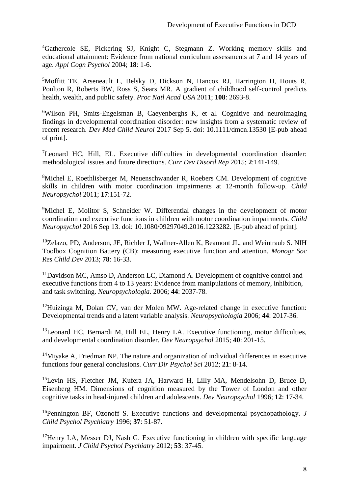<sup>4</sup>Gathercole SE, Pickering SJ, Knight C, Stegmann Z. Working memory skills and educational attainment: Evidence from national curriculum assessments at 7 and 14 years of age. *Appl Cogn Psychol* 2004; **18**: 1-6.

<sup>5</sup>Moffitt TE, Arseneault L, Belsky D, Dickson N, Hancox RJ, Harrington H, Houts R, Poulton R, Roberts BW, Ross S, Sears MR. A gradient of childhood self-control predicts health, wealth, and public safety. *Proc Natl Acad USA* 2011; **108**: 2693-8.

<sup>6</sup>Wilson PH, Smits-Engelsman B, Caeyenberghs K, et al. Cognitive and neuroimaging findings in developmental coordination disorder: new insights from a systematic review of recent research. *Dev Med Child Neurol* 2017 Sep 5. doi: 10.1111/dmcn.13530 [E-pub ahead of print].

<sup>7</sup>Leonard HC, Hill, EL. Executive difficulties in developmental coordination disorder: methodological issues and future directions. *Curr Dev Disord Rep* 2015; **2**:141-149.

<sup>8</sup>Michel E, Roethlisberger M, Neuenschwander R, Roebers CM. Development of cognitive skills in children with motor coordination impairments at 12-month follow-up. *Child Neuropsychol* 2011; **17**:151-72.

<sup>9</sup>Michel E, Molitor S, Schneider W. Differential changes in the development of motor coordination and executive functions in children with motor coordination impairments. *Child Neuropsychol* 2016 Sep 13. doi: 10.1080/09297049.2016.1223282. [E-pub ahead of print].

<sup>10</sup>Zelazo, PD, Anderson, JE, Richler J, Wallner-Allen K, Beamont JL, and Weintraub S. NIH Toolbox Cognition Battery (CB): measuring executive function and attention. *Monogr Soc Res Child Dev* 2013; **78**: 16-33.

 $11$ Davidson MC, Amso D, Anderson LC, Diamond A. Development of cognitive control and executive functions from 4 to 13 years: Evidence from manipulations of memory, inhibition, and task switching. *Neuropsychologia*. 2006; **44**: 2037-78.

<sup>12</sup>Huizinga M, Dolan CV, van der Molen MW. Age-related change in executive function: Developmental trends and a latent variable analysis. *Neuropsychologia* 2006; **44**: 2017-36.

<sup>13</sup>Leonard HC, Bernardi M, Hill EL, Henry LA. Executive functioning, motor difficulties, and developmental coordination disorder. *Dev Neuropsychol* 2015; **40**: 201-15.

<sup>14</sup>Miyake A, Friedman NP. The nature and organization of individual differences in executive functions four general conclusions. *Curr Dir Psychol Sci* 2012; **21**: 8-14.

<sup>15</sup>Levin HS, Fletcher JM, Kufera JA, Harward H, Lilly MA, Mendelsohn D, Bruce D, Eisenberg HM. Dimensions of cognition measured by the Tower of London and other cognitive tasks in head‐injured children and adolescents. *Dev Neuropsychol* 1996; **12**: 17-34.

<sup>16</sup>Pennington BF, Ozonoff S. Executive functions and developmental psychopathology. *J Child Psychol Psychiatry* 1996; **37**: 51-87.

<sup>17</sup>Henry LA, Messer DJ, Nash G. Executive functioning in children with specific language impairment. *J Child Psychol Psychiatry* 2012; **53**: 37-45.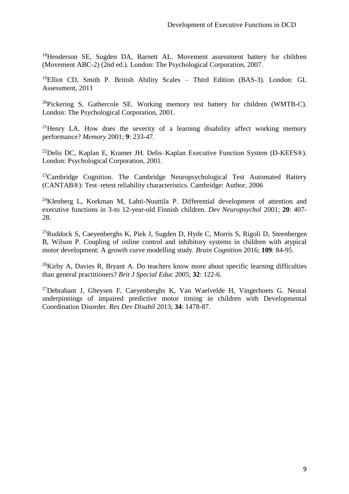<sup>18</sup>Henderson SE, Sugden DA, Barnett AL. Movement assessment battery for children (Movement ABC-2) (2nd ed.). London: The Psychological Corporation, 2007.

<sup>19</sup>Elliot CD, Smith P. British Ability Scales – Third Edition (BAS-3). London: GL Assessment, 2011

<sup>20</sup>Pickering S, Gathercole SE. Working memory test battery for children (WMTB-C). London: The Psychological Corporation, 2001.

<sup>21</sup>Henry LA. How does the severity of a learning disability affect working memory performance? *Memory* 2001; **9**: 233-47.

<sup>22</sup>Delis DC, Kaplan E, Kramer JH. Delis–Kaplan Executive Function System (D-KEFS®). London: Psychological Corporation, 2001.

 $23$ Cambridge Cognition. The Cambridge Neuropsychological Test Automated Battery (CANTAB®): Test–retest reliability characteristics. Cambridge: Author, 2006

<sup>24</sup>Klenberg L, Korkman M, Lahti-Nuuttila P. Differential development of attention and executive functions in 3-to 12-year-old Finnish children. *Dev Neuropsychol* 2001; **20**: 407- 28.

 $25Ruddock S$ , Caeyenberghs K, Piek J, Sugden D, Hyde C, Morris S, Rigoli D, Steenbergen B, Wilson P. Coupling of online control and inhibitory systems in children with atypical motor development: A growth curve modelling study. *Brain Cognition* 2016; **109**: 84-95.

 $26$ Kirby A, Davies R, Bryant A. Do teachers know more about specific learning difficulties than general practitioners? *Brit J Special Educ* 2005; **32**: 122-6.

<sup>27</sup>Debrabant J, Gheysen F, Caeyenberghs K, Van Waelvelde H, Vingerhoets G. Neural underpinnings of impaired predictive motor timing in children with Developmental Coordination Disorder. *Res Dev Disabil* 2013; **34**: 1478-87.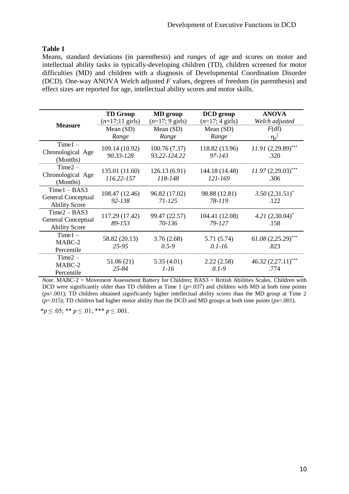## **Table 1**

Means, standard deviations (in parenthesis) and *ranges* of age and scores on motor and intellectual ability tasks in typically-developing children (TD), children screened for motor difficulties (MD) and children with a diagnosis of Developmental Coordination Disorder (DCD). One-way ANOVA Welch adjusted *F* values, degrees of freedom (in parenthesis) and effect sizes are reported for age, intellectual ability scores and motor skills.

|                                                                     | <b>TD Group</b><br>$(n=17;11 \text{ girls})$ | <b>MD</b> group<br>$(n=17; 9 \text{ girls})$ | <b>DCD</b> group<br>$(n=17; 4 \text{ girls})$ | <b>ANOVA</b><br>Welch adjusted |
|---------------------------------------------------------------------|----------------------------------------------|----------------------------------------------|-----------------------------------------------|--------------------------------|
| <b>Measure</b>                                                      | Mean $(SD)$<br>Range                         | Mean $(SD)$<br>Range                         | Mean $(SD)$<br>Range                          | F(df)<br>$\eta_p^2$            |
| $Time1 -$<br>Chronological Age<br>(Months)                          | 109.14 (10.92)<br>90.33-128                  | 100.76(7.37)<br>93.22-124.22                 | 118.82 (13.96)<br>$97 - 143$                  | $11.91(2,29.89)$ ***<br>.320   |
| $Time2 -$<br>Chronological Age<br>(Months)                          | 135.01 (11.60)<br>116.22-157                 | 126.13(6.91)<br>118-148                      | 144.18 (14.48)<br>121-169                     | $11.97(2,29.03)$ ***<br>.306   |
| $Time1 - BAS3$<br><b>General Conceptual</b><br><b>Ability Score</b> | 108.47 (12.46)<br>92-138                     | 96.82 (17.02)<br>$71 - 125$                  | 98.88 (12.81)<br>78-119                       | $3.50(2,31.51)^*$<br>.122      |
| $Time2 - BAS3$<br><b>General Conceptual</b><br><b>Ability Score</b> | 117.29 (17.42)<br>89-153                     | 99.47 (22.57)<br>70-136                      | 104.41 (12.08)<br>79-127                      | $4.21 (2,30.04)^*$<br>.158     |
| $Time1 -$<br>MABC-2<br>Percentile                                   | 58.82 (20.13)<br>$25 - 95$                   | 3.76(2.68)<br>$0.5 - 9$                      | 5.71 (5.74)<br>$0.1 - 16$                     | $61.08(2,25.29)$ ***<br>.823   |
| $Time2 -$<br>MABC-2<br>Percentile                                   | 51.06(21)<br>25-84                           | 5.35(4.01)<br>$1-16$                         | 2.22(2.58)<br>$0.1 - 9$                       | 46.32 (2,27.11)***<br>.774     |

*Note*. MABC-2 = Movement Assessment Battery for Children; BAS3 = British Abilities Scales. Children with DCD were significantly older than TD children at Time 1 ( $p=0.037$ ) and children with MD at both time points (*p*s<.001); TD children obtained significantly higher intellectual ability scores than the MD group at Time 2 (*p*=.015); TD children had higher motor ability than the DCD and MD groups at both time points (*p*s<.001).

\**p* ≤ .05; \*\* *p* ≤ .01; \*\*\* *p* ≤ .001.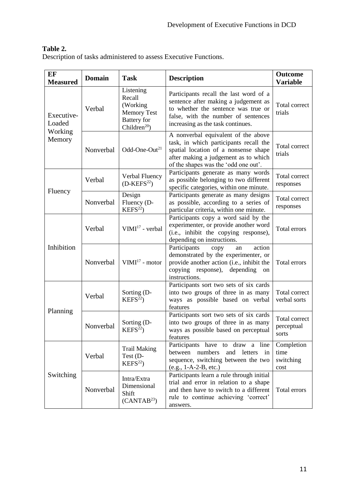## **Table 2.**

Description of tasks administered to assess Executive Functions.

| EF<br><b>Measured</b>                     | <b>Domain</b> | <b>Task</b>                                                                                                                                                              | <b>Description</b>                                                                                                                                                                                    | <b>Outcome</b><br><b>Variable</b>       |
|-------------------------------------------|---------------|--------------------------------------------------------------------------------------------------------------------------------------------------------------------------|-------------------------------------------------------------------------------------------------------------------------------------------------------------------------------------------------------|-----------------------------------------|
| Executive-<br>Loaded<br>Working<br>Memory | Verbal        | Listening<br>Recall<br>(Working<br><b>Memory Test</b><br><b>Battery</b> for<br>Children <sup>20</sup> )                                                                  | Participants recall the last word of a<br>sentence after making a judgement as<br>to whether the sentence was true or<br>false, with the number of sentences<br>increasing as the task continues.     | Total correct<br>trials                 |
|                                           | Nonverbal     | Odd-One-Out <sup>21</sup>                                                                                                                                                | A nonverbal equivalent of the above<br>task, in which participants recall the<br>spatial location of a nonsense shape<br>after making a judgement as to which<br>of the shapes was the 'odd one out'. | Total correct<br>trials                 |
|                                           | Verbal        | Verbal Fluency<br>$(D$ -KEFS <sup>22</sup> )                                                                                                                             | Participants generate as many words<br>as possible belonging to two different<br>specific categories, within one minute.                                                                              | Total correct<br>responses              |
| Fluency                                   | Nonverbal     | Design<br>Participants generate as many designs<br>Fluency (D-<br>as possible, according to a series of<br>KEFS <sup>22</sup><br>particular criteria, within one minute. |                                                                                                                                                                                                       | Total correct<br>responses              |
| Inhibition                                | Verbal        | $VIMI17$ - verbal                                                                                                                                                        | Participants copy a word said by the<br>experimenter, or provide another word<br>(i.e., inhibit the copying response),<br>depending on instructions.                                                  | Total errors                            |
|                                           | Nonverbal     | $VIMI17$ - motor                                                                                                                                                         | action<br>Participants<br>copy<br>an<br>demonstrated by the experimenter, or<br>provide another action (i.e., inhibit the<br>copying response), depending<br>on<br>instructions.                      | Total errors                            |
| Planning                                  | Verbal        | Sorting (D-<br>KEFS <sup>22</sup>                                                                                                                                        | Participants sort two sets of six cards<br>into two groups of three in as many<br>ways as possible based on verbal<br>features                                                                        | Total correct<br>verbal sorts           |
|                                           | Nonverbal     | Sorting (D-<br>KEFS <sup>22</sup>                                                                                                                                        | Participants sort two sets of six cards<br>into two groups of three in as many<br>ways as possible based on perceptual<br>features                                                                    | Total correct<br>perceptual<br>sorts    |
|                                           | Verbal        | <b>Trail Making</b><br>Test (D-<br>KEFS <sup>22</sup>                                                                                                                    | Participants have to draw a line<br>between numbers<br>and letters<br>$\frac{1}{2}$<br>sequence, switching between the two<br>$(e.g., 1-A-2-B, etc.)$                                                 | Completion<br>time<br>switching<br>cost |
| Switching                                 | Nonverbal     | Intra/Extra<br>Dimensional<br>Shift<br>(CANTAB <sup>23</sup> )                                                                                                           | Participants learn a rule through initial<br>trial and error in relation to a shape<br>and then have to switch to a different<br>rule to continue achieving 'correct'<br>answers.                     | Total errors                            |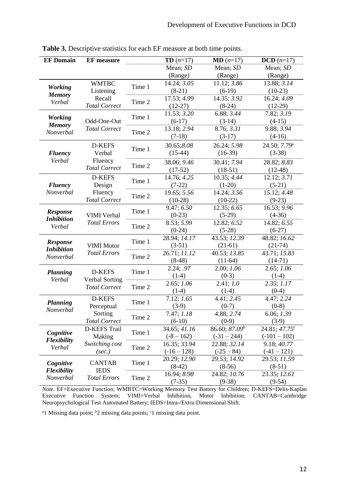| <b>EF Domain</b>                        | <b>EF</b> measure             |        | <b>TD</b> $(n=17)$       | $MD (n=17)$                          | $DCD (n=17)$             |
|-----------------------------------------|-------------------------------|--------|--------------------------|--------------------------------------|--------------------------|
|                                         |                               |        | Mean; SD                 | Mean; SD                             | Mean; SD                 |
|                                         |                               |        | (Range)                  | (Range)                              | (Range)                  |
| <b>Working</b>                          | <b>WMTBC</b>                  | Time 1 | 14.24; 3.05              | 11.12; 3.86                          | 13.88; 3.14              |
| <b>Memory</b>                           | Listening                     |        | $(8-21)$                 | $(6-19)$                             | $(10-23)$                |
| Verbal                                  | Recall                        | Time 2 | 17.53; 4.99              | 14.35; 3.92                          | 16.24; 4.09              |
|                                         | <b>Total Correct</b>          |        | $(12-27)$                | $(8-24)$                             | $(12-29)$                |
| <b>Working</b>                          |                               | Time 1 | 11.53; 3.20              | 6.88; 3.44                           | 7.82; 3.19               |
| <b>Memory</b>                           | Odd-One-Out                   |        | $(6-17)$                 | $(3-14)$                             | $(4-15)$                 |
| Nonverbal                               | <b>Total Correct</b>          | Time 2 | 13.18; 2.94              | 8.76; 3.31                           | 9.88; 3.94               |
|                                         |                               |        | $(7-18)$                 | $(3-17)$                             | $(4-16)$                 |
|                                         | D-KEFS                        | Time 1 | 30.65;8.08               | 26.24; 5.98                          | 24.50; 7.79 <sup>a</sup> |
| <b>Fluency</b>                          | Verbal                        |        | $(15-44)$                | $(16-39)$                            | $(3-38)$                 |
| Verbal                                  | Fluency                       |        | 38.06; 9.46              | 30.41; 7.94                          | 28.82; 8.83              |
|                                         | <b>Total Correct</b>          | Time 2 | $(17-52)$                | $(18-51)$                            | $(12-48)$                |
|                                         | D-KEFS                        | Time 1 | 14.76; 4.25              | 10.35; 4.44                          | 12.12; 3.71              |
| <b>Fluency</b>                          | Design                        |        | $(7-22)$                 | $(1-20)$                             | $(5-21)$                 |
| Nonverbal                               | Fluency                       | Time 2 | 19.65; 5.56              | 14.24; 3.56                          | 15.12; 4.48              |
|                                         | <b>Total Correct</b>          |        | $(10-28)$                | $(10-22)$                            | $(9-23)$                 |
| Response<br><b>Inhibition</b><br>Verbal |                               | Time 1 | 9.47; 6.50               | 12.35; 6.65                          | 16.53; 9.96              |
|                                         | <b>VIMI</b> Verbal            |        | $(0-23)$                 | $(5-29)$                             | $(4-36)$                 |
|                                         | <b>Total Errors</b>           | Time 2 | 8.53; 5.99               | 12.82; 6.52                          | 14.82; 6.55              |
|                                         |                               |        | $(0-24)$                 | $(5-28)$                             | $(6-27)$                 |
| Response                                |                               | Time 1 | 28.94; 14.17             | 43.53; 12.39                         | 48.82; 16.62             |
| <b>Inhibition</b>                       | <b>VIMI</b> Motor             |        | $(3-51)$                 | $(21-61)$                            | $(21-74)$                |
| Nonverbal                               | <b>Total Errors</b>           | Time 2 | 26.71; 11.12             | 40.53; 13.85                         | 43.71; 15.83             |
|                                         |                               |        | $(8-48)$                 | $(11-64)$                            | $(14-71)$                |
| <b>Planning</b>                         | D-KEFS                        | Time 1 | 2.24; .97                | 2.00; 1.06                           | 2.65; 1.06               |
| Verbal                                  | <b>Verbal Sorting</b>         |        | $(1-4)$                  | $(0-3)$                              | $(1-4)$                  |
|                                         | <b>Total Correct</b>          | Time 2 | 2.65; 1.06               | 2.41; 1.0                            | 2.35; 1.17               |
|                                         |                               |        | $(1-4)$                  | $(1-4)$                              | $(0-4)$                  |
| <b>Planning</b>                         | D-KEFS                        | Time 1 | 7.12; 1.65               | 4.41; 2.45                           | 4.47; 2.24               |
| Nonverbal                               | Perceptual                    |        | $(3-9)$                  | $(0-7)$                              | $(0-8)$                  |
|                                         | Sorting                       | Time 2 | 7.47; 1.18               | 4.88; 2.74                           | 6.06; 1.39               |
|                                         | <b>Total Correct</b>          |        | $(6-10)$<br>34.65; 41.16 | $(0-9)$<br>86.60; 87.09 <sup>b</sup> | $(3-9)$<br>24.81; 47.75° |
| Cognitive                               | <b>D-KEFS Trail</b><br>Making | Time 1 | $(-8 - 162)$             | $(-31 - 244)$                        | $(-101 - 102)$           |
| <b>Flexibility</b><br>Verbal            | Switching cost                |        | 16.35; 33.94             | 22.88; 32.14                         | 9.18; 40.77              |
|                                         |                               | Time 2 | $(-16 - 128)$            | $(-25 - 84)$                         | $(-41 - 121)$            |
|                                         | (sec.)                        |        | 20.29; 12.90             | 29.53; 14.92                         | 29.53; 11.59             |
| Cognitive                               | <b>CANTAB</b>                 | Time 1 | $(8-42)$                 | $(8-56)$                             | $(8-51)$                 |
| <b>Flexibility</b>                      | <b>IEDS</b>                   |        | 16.94; 8.98              | 24.82; 10.76                         | 23.35; 12.61             |
| Nonverbal                               | <b>Total Errors</b>           | Time 2 | $(7-35)$                 | $(9-38)$                             | $(9-54)$                 |
|                                         |                               |        |                          |                                      |                          |

**Table 3.** Descriptive statistics for each EF measure at both time points.

*Note*. EF=Executive Function; WMBTC=Working Memory Test Battery for Children; D-KEFS=Delis-Kaplan Executive Function System; VIMI=Verbal Inhibition, Motor Inhibition; CANTAB=Cambridge Neuropsychological Test Automated Battery; IEDS=Intra-/Extra-Dimensional Shift.

<sup>a</sup>1 Missing data point; <sup>b</sup>2 missing data points; <sup>c</sup>1 missing data point.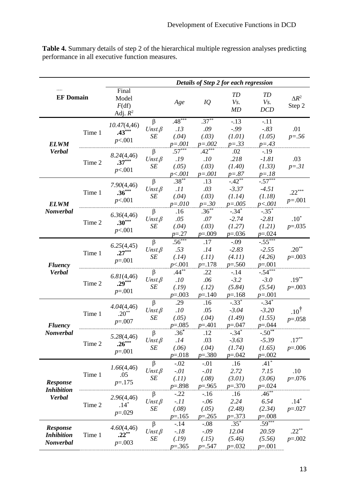**Table 4.** Summary details of step 2 of the hierarchical multiple regression analyses predicting performance in all executive function measures.

|                                                |        | Details of Step 2 for each regression |                                          |                                        |                                          |                                             |                                             |                              |
|------------------------------------------------|--------|---------------------------------------|------------------------------------------|----------------------------------------|------------------------------------------|---------------------------------------------|---------------------------------------------|------------------------------|
| <b>EF Domain</b>                               |        | Final<br>Model<br>F(df)<br>Adj. $R^2$ |                                          | Age                                    | IQ                                       | TD<br>Vs.<br>MD                             | <b>TD</b><br>Vs.<br>DCD                     | $\Delta R^2$<br>Step 2       |
| <b>ELWM</b><br><b>Verbal</b>                   | Time 1 | 10.47(4,46)<br>$.43***$<br>p<.001     | $\beta$<br>$Unst.\beta$<br>SE            | $.48***$<br>.13<br>(.04)<br>$p = .001$ | $.37***$<br>.09<br>(.03)<br>$p=.002$     | $-.13$<br>$-.99$<br>(1.01)<br>$p = .33$     | $-.11$<br>$-.83$<br>(1.05)<br>$p = .43$     | .01<br>$p = .56$             |
|                                                | Time 2 | 8.24(4,46)<br>$.37***$<br>p<.001      | $\beta$<br>$Unst.\beta$<br>SE            | $.57***$<br>.19<br>(.05)<br>p<.001     | $.42***$<br>.10<br>(.03)<br>$p = .001$   | .02<br>.218<br>(1.40)<br>$p = .87$          | $-.19$<br>$-1.81$<br>(1.33)<br>$p = .18$    | .03<br>$p = .31$             |
| <b>ELWM</b>                                    | Time 1 | 7.90(4, 46)<br>$.36***$<br>p<.001     | $\overline{\beta}$<br>$Unst.\beta$<br>SE | $.38***$<br>.11<br>(.04)<br>$p = 010$  | .13<br>.03<br>(.03)<br>$p = 0.30$        | $-42**$<br>$-3.37$<br>(1.14)<br>$p = .005$  | $-0.57***$<br>$-4.51$<br>(1.18)<br>p < .001 | $.22***$<br>$p = .001$       |
| Nonverbal                                      | Time 2 | 6.36(4,46)<br>$.30***$<br>p<.001      | $\beta$<br>$Unst.\beta$<br>SE            | .16<br>.05<br>(.04)<br>$p = 0.27$      | $.36***$<br>$.07$<br>(.03)<br>$p=.009$   | $-.34*$<br>$-2.74$<br>(1.27)<br>$p=.036$    | $-.35*$<br>$-2.81$<br>(1.21)<br>$p = 0.024$ | $.10^{\ast}$<br>$p=.035$     |
| <b>Fluency</b><br><b>Verbal</b>                | Time 1 | 6.25(4,45)<br>$.27***$<br>$p=.001$    | $\beta$<br>$Unst.\beta$<br>SE            | $.56***$<br>.53<br>(.14)<br>p<.001     | .17<br>.14<br>(.11)<br>$p = 178$         | $-.09$<br>$-2.83$<br>(4.11)<br>$p=.560$     | $-0.55***$<br>$-2.55$<br>(4.26)<br>$p=.001$ | $.20**$<br>$p=.003$          |
|                                                | Time 2 | 6.81(4,46)<br>$.29***$<br>$p=.001$    | $\beta$<br>$Unst.\beta$<br>SE            | $.44***$<br>.10<br>(.19)<br>$p=.003$   | .22<br>.06<br>(.12)<br>$p = 140$         | $-14$<br>$-3.2$<br>(5.84)<br>$p = 168$      | $-.54***$<br>$-3.0$<br>(5.54)<br>$p=.001$   | $.19***$<br>$p=.003$         |
| <b>Fluency</b>                                 | Time 1 | 4.04(4,46)<br>$.20***$<br>$p=.007$    | $\beta$<br>$Unst.\beta$<br>SE            | .29<br>.10<br>(.05)<br>$p=.085$        | .16<br>.05<br>(.04)<br>$p = 0.401$       | $-.33*$<br>$-3.04$<br>(1.49)<br>$p = 0.047$ | $-.34*$<br>$-3.20$<br>(1.55)<br>$p = 0.044$ | $.10^{\dagger}$<br>$p=.058$  |
| Nonverbal                                      | Time 2 | 5.28(4,46)<br>$.26***$<br>$p=.001$    | β<br>$Unst.\beta$<br>SE                  | $.36*$<br>.14<br>(.06)<br>$p=.018$     | .12<br>.03<br>(.04)<br>$p=.380$          | $-.34*$<br>$-3.63$<br>(1.74)<br>$p=.042$    | $-.50**$<br>$-5.39$<br>(1.65)<br>$p=.002$   | $.17^{\ast\ast}$<br>$p=.006$ |
| Response<br><b>Inhibition</b><br><b>Verbal</b> | Time 1 | 1.66(4,46)<br>.05<br>$p = 175$        | $\beta$<br>$Unst.\beta$<br>SE            | $-.02$<br>$-.01$<br>(.11)<br>$p=.898$  | $-.01$<br>$-.01$<br>(.08)<br>$p = 0.965$ | .16<br>2.72<br>(3.01)<br>$p=.370$           | $.41*$<br>7.15<br>(3.06)<br>$p=.024$        | .10<br>$p=.076$              |
|                                                | Time 2 | 2.96(4, 46)<br>$.14*$<br>$p=.029$     | $\beta$<br>$Unst.\beta$<br>SE            | $-.22$<br>$-.11$<br>(.08)<br>$p = 165$ | $-16$<br>$-.06$<br>(.05)<br>$p=.265$     | .16<br>2.24<br>(2.48)<br>$p=.373$           | $.46***$<br>6.54<br>(2.34)<br>$p=.008$      | $.14*$<br>$p=.027$           |
| Response<br><b>Inhibition</b><br>Nonverbal     | Time 1 | 4.60(4, 46)<br>$.22**$<br>$p=.003$    | $\beta$<br>$Unst.\beta$<br>SE            | $-14$<br>$-.18$<br>(.19)<br>$p=.365$   | $-.08$<br>$-.09$<br>(.15)<br>$p = 0.547$ | $.35*$<br>12.04<br>(5.46)<br>$p=.032$       | $.59***$<br>20.59<br>(5.56)<br>$p=.001$     | $.22***$<br>$p=.002$         |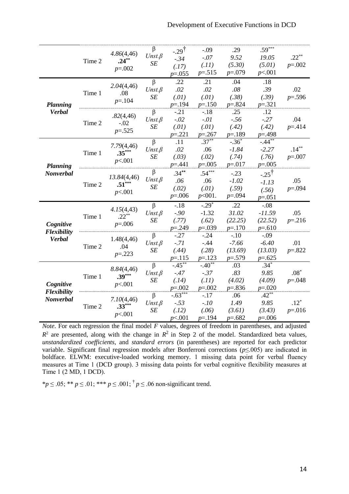|                                 | Time 2 | 4.86(4,46)<br>$.24***$<br>$p=.002$    | β<br>$Unst.\beta$<br>SE                               | $-0.29^{\dagger}$<br>$-.34$<br>(.17)<br>$p=.055$ | $-.09$<br>$-.07$<br>(.11)<br>$p = 0.515$    | .29<br>9.52<br>(5.30)<br>$p=.079$         | $.59***$<br>19.05<br>(5.01)<br>p<.001                  | $.22***$<br>$p=.002$   |
|---------------------------------|--------|---------------------------------------|-------------------------------------------------------|--------------------------------------------------|---------------------------------------------|-------------------------------------------|--------------------------------------------------------|------------------------|
| <b>Planning</b>                 | Time 1 | 2.04(4, 46)<br>.08<br>$p = 104$       | $\beta$<br>$Unst.\beta$<br>SE                         | .22<br>.02<br>(.01)<br>$p = 194$                 | .21<br>.02<br>(.01)<br>$p = 150$            | .04<br>$.08$<br>(.38)<br>$p = 824$        | .18<br>.39<br>(.39)<br>$p=.321$                        | .02<br>$p = 0.596$     |
| <b>Verbal</b>                   | Time 2 | .82(4,46)<br>$-.02$<br>$p = 0.525$    | $\beta$<br>$Unst.\beta$<br>SE                         | $-.21$<br>$-.02$<br>(.01)<br>$p = 221$           | $-.18$<br>$-.01$<br>(.01)<br>$p = 0.267$    | .25<br>$-.56$<br>(.42)<br>$p = 189$       | .12<br>$-.27$<br>(.42)<br>$p = 0.498$                  | .04<br>$p = 0.414$     |
| <b>Planning</b>                 | Time 1 | 7.79(4,46)<br>$.35***$<br>p<.001      | $\beta$<br>$Unst.\beta$<br>SE                         | .11<br>.02<br>(.03)<br>$p = 0.441$               | $.37***$<br>.06<br>(.02)<br>$p=.005$        | $-.36*$<br>$-1.84$<br>(.74)<br>$p=.017$   | $-.44$ <sup>**</sup><br>$-2.27$<br>(.76)<br>$p=.005$   | $.14***$<br>$p=.007$   |
| Nonverbal                       | Time 2 | 13.84(4,46)<br>$.51***$<br>p<.001     | $\beta$<br>$Unst.\beta$<br>SE                         | $.34***$<br>.06<br>(.02)<br>$p = 0.006$          | $.54***$<br>.06<br>(.01)<br>$p<001$ .       | $-.23$<br>$-1.02$<br>(.59)<br>$p = 0.094$ | $-25^{\frac{1}{1}}$<br>$-1.13$<br>(.56)<br>$p = 0.051$ | .05<br>$p = 0.094$     |
| Cognitive<br><b>Flexibility</b> | Time 1 | 4.15(4,43)<br>$.22***$<br>$p = 0.006$ | $\beta$<br>$Unst.\beta$<br>$\cal SE$                  | $-.18$<br>$-0.90$<br>(.77)<br>$p = 0.249$        | $-0.29*$<br>$-1.32$<br>(.62)<br>$p = 0.039$ | .22<br>31.02<br>(22.25)<br>$p = 170$      | $-.08$<br>$-11.59$<br>(22.52)<br>$p=.610$              | .05<br>$p = 216$       |
| <b>Verbal</b>                   | Time 2 | 1.48(4, 46)<br>.04<br>$p=.223$        | $\beta$<br>$Unst.\beta$<br>SE                         | $-0.27$<br>$-71$<br>(.44)<br>$p = 115$           | $-0.24$<br>$-.44$<br>(.28)<br>$p = 123$     | $-.10$<br>$-7.66$<br>(13.69)<br>$p=.579$  | $-.09$<br>$-6.40$<br>(13.03)<br>$p=.625$               | .01<br>$p=.822$        |
|                                 | Time 1 | 8.84(4,46)<br>$.39***$                | $\overline{\beta}$<br>$Unst.\beta$<br>$C\overline{E}$ | $-45**$<br>$-47$<br>(11)                         | $-.40**$<br>$-.37$<br>(11)                  | .03<br>.83<br>(4.02)                      | $.34*$<br>9.85<br>(4.00)                               | $.08*$<br>$m = \Omega$ |

*Note*. For each regression the final model *F* values, degrees of freedom in parentheses, and adjusted  $R^2$  are presented, along with the change in  $R^2$  in Step 2 of the model. Standardized beta values, *unstandardized coefficients*, and *standard errors* (in parentheses) are reported for each predictor variable. Significant final regression models after Bonferroni corrections (*p*≤.005) are indicated in boldface. ELWM: executive-loaded working memory. 1 missing data point for verbal fluency measures at Time 1 (DCD group). 3 missing data points for verbal cognitive flexibility measures at Time 1 (2 MD, 1 DCD).

*(.14) p*=.002

 $-.63*$ -*.53 (.12) p*<.001

*(.11) p*=.002

-.17 -.*10 (.06) p*=.194

*(4.02) p*=.836

.06 *1.49 (3.61) p*=.682

*(4.09) p*=.020

.42\*\* *9.85 (3.43) p*=.006 *p*=.048

.12\* *p*=.016

\* $p \le 0.05$ ; \*\*  $p \le 0.01$ ; \*\*\*  $p \le 0.001$ ; <sup>†</sup>  $p \le 0.06$  non-significant trend.

*p*<.001

*7.10*(4,46) **.33\*\*\*** *p*<.001

Time 2

*SE*

β *Unst.β SE*

*Cognitive Flexibility Nonverbal*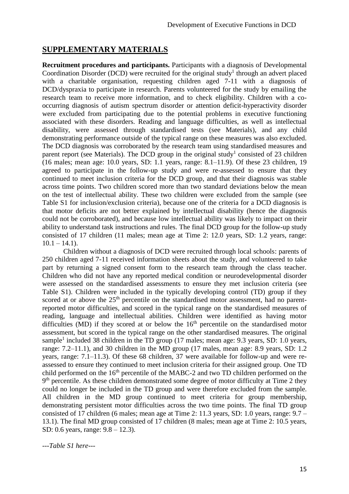# **SUPPLEMENTARY MATERIALS**

**Recruitment procedures and participants.** Participants with a diagnosis of Developmental Coordination Disorder (DCD) were recruited for the original study<sup>1</sup> through an advert placed with a charitable organisation, requesting children aged 7-11 with a diagnosis of DCD/dyspraxia to participate in research. Parents volunteered for the study by emailing the research team to receive more information, and to check eligibility. Children with a cooccurring diagnosis of autism spectrum disorder or attention deficit-hyperactivity disorder were excluded from participating due to the potential problems in executive functioning associated with these disorders. Reading and language difficulties, as well as intellectual disability, were assessed through standardised tests (see Materials), and any child demonstrating performance outside of the typical range on these measures was also excluded. The DCD diagnosis was corroborated by the research team using standardised measures and parent report (see Materials). The DCD group in the original study<sup>1</sup> consisted of 23 children (16 males; mean age: 10.0 years, SD: 1.1 years, range: 8.1–11.9). Of these 23 children, 19 agreed to participate in the follow-up study and were re-assessed to ensure that they continued to meet inclusion criteria for the DCD group, and that their diagnosis was stable across time points. Two children scored more than two standard deviations below the mean on the test of intellectual ability. These two children were excluded from the sample (see Table S1 for inclusion/exclusion criteria), because one of the criteria for a DCD diagnosis is that motor deficits are not better explained by intellectual disability (hence the diagnosis could not be corroborated), and because low intellectual ability was likely to impact on their ability to understand task instructions and rules. The final DCD group for the follow-up study consisted of 17 children (11 males; mean age at Time 2: 12.0 years, SD: 1.2 years, range:  $10.1 - 14.1$ .

Children without a diagnosis of DCD were recruited through local schools: parents of 250 children aged 7-11 received information sheets about the study, and volunteered to take part by returning a signed consent form to the research team through the class teacher. Children who did not have any reported medical condition or neurodevelopmental disorder were assessed on the standardised assessments to ensure they met inclusion criteria (see Table S1). Children were included in the typically developing control (TD) group if they scored at or above the 25<sup>th</sup> percentile on the standardised motor assessment, had no parentreported motor difficulties, and scored in the typical range on the standardised measures of reading, language and intellectual abilities. Children were identified as having motor difficulties (MD) if they scored at or below the  $16<sup>th</sup>$  percentile on the standardised motor assessment, but scored in the typical range on the other standardised measures. The original sample<sup>1</sup> included 38 children in the TD group (17 males; mean age: 9.3 years, SD: 1.0 years, range: 7.2–11.1), and 30 children in the MD group (17 males, mean age: 8.9 years, SD: 1.2 years, range: 7.1–11.3). Of these 68 children, 37 were available for follow-up and were reassessed to ensure they continued to meet inclusion criteria for their assigned group. One TD child performed on the  $16<sup>th</sup>$  percentile of the MABC-2 and two TD children performed on the 9<sup>th</sup> percentile. As these children demonstrated some degree of motor difficulty at Time 2 they could no longer be included in the TD group and were therefore excluded from the sample. All children in the MD group continued to meet criteria for group membership, demonstrating persistent motor difficulties across the two time points. The final TD group consisted of 17 children (6 males; mean age at Time 2: 11.3 years, SD: 1.0 years, range: 9.7 – 13.1). The final MD group consisted of 17 children (8 males; mean age at Time 2: 10.5 years, SD: 0.6 years, range: 9.8 – 12.3).

*---Table S1 here---*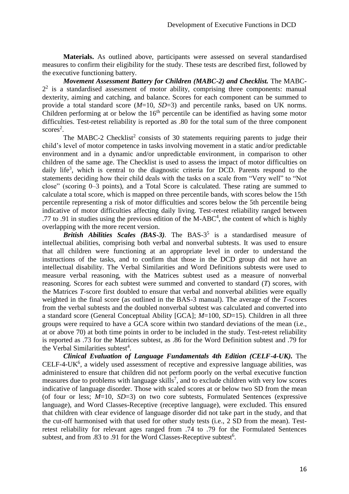**Materials.** As outlined above, participants were assessed on several standardised measures to confirm their eligibility for the study. These tests are described first, followed by the executive functioning battery.

*Movement Assessment Battery for Children (MABC-2) and Checklist.* The MABC- $2<sup>2</sup>$  is a standardised assessment of motor ability, comprising three components: manual dexterity, aiming and catching, and balance. Scores for each component can be summed to provide a total standard score (*M*=10, *SD*=3) and percentile ranks, based on UK norms. Children performing at or below the  $16<sup>th</sup>$  percentile can be identified as having some motor difficulties. Test-retest reliability is reported as .80 for the total sum of the three component scores<sup>2</sup>.

The MABC-2 Checklist<sup>2</sup> consists of 30 statements requiring parents to judge their child's level of motor competence in tasks involving movement in a static and/or predictable environment and in a dynamic and/or unpredictable environment, in comparison to other children of the same age. The Checklist is used to assess the impact of motor difficulties on daily life<sup>3</sup>, which is central to the diagnostic criteria for DCD. Parents respond to the statements deciding how their child deals with the tasks on a scale from "Very well" to "Not close" (scoring 0–3 points), and a Total Score is calculated. These rating are summed to calculate a total score, which is mapped on three percentile bands, with scores below the 15th percentile representing a risk of motor difficulties and scores below the 5th percentile being indicative of motor difficulties affecting daily living. Test-retest reliability ranged between .77 to .91 in studies using the previous edition of the M-ABC<sup>4</sup>, the content of which is highly overlapping with the more recent version.

*British Abilities Scales (BAS-3).* The BAS-3 5 is a standardised measure of intellectual abilities, comprising both verbal and nonverbal subtests. It was used to ensure that all children were functioning at an appropriate level in order to understand the instructions of the tasks, and to confirm that those in the DCD group did not have an intellectual disability. The Verbal Similarities and Word Definitions subtests were used to measure verbal reasoning, with the Matrices subtest used as a measure of nonverbal reasoning. Scores for each subtest were summed and converted to standard (*T*) scores, with the Matrices *T*-score first doubled to ensure that verbal and nonverbal abilities were equally weighted in the final score (as outlined in the BAS-3 manual). The average of the *T*-scores from the verbal subtests and the doubled nonverbal subtest was calculated and converted into a standard score (General Conceptual Ability [GCA]; *M*=100, *SD*=15). Children in all three groups were required to have a GCA score within two standard deviations of the mean (i.e., at or above 70) at both time points in order to be included in the study. Test-retest reliability is reported as .73 for the Matrices subtest, as .86 for the Word Definition subtest and .79 for the Verbal Similarities subtest<sup>4</sup>.

*Clinical Evaluation of Language Fundamentals 4th Edition (CELF-4-UK).* The  $CELF-4-UK<sup>6</sup>$ , a widely used assessment of receptive and expressive language abilities, was administered to ensure that children did not perform poorly on the verbal executive function measures due to problems with language skills<sup>7</sup>, and to exclude children with very low scores indicative of language disorder. Those with scaled scores at or below two SD from the mean (of four or less; *M*=10, *SD*=3) on two core subtests, Formulated Sentences (expressive language), and Word Classes-Receptive (receptive language), were excluded. This ensured that children with clear evidence of language disorder did not take part in the study, and that the cut-off harmonised with that used for other study tests (i.e., 2 SD from the mean). Testretest reliability for relevant ages ranged from .74 to .79 for the Formulated Sentences subtest, and from .83 to .91 for the Word Classes-Receptive subtest<sup>6</sup>.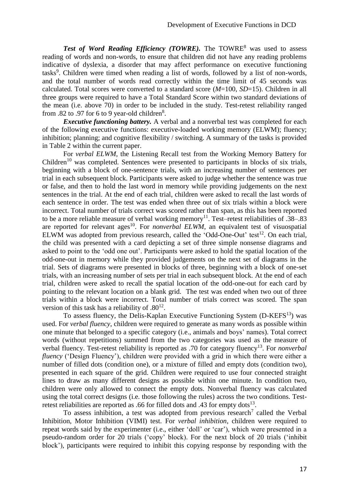**Test of Word Reading Efficiency (TOWRE).** The TOWRE<sup>8</sup> was used to assess reading of words and non-words, to ensure that children did not have any reading problems indicative of dyslexia, a disorder that may affect performance on executive functioning tasks<sup>9</sup>. Children were timed when reading a list of words, followed by a list of non-words, and the total number of words read correctly within the time limit of 45 seconds was calculated. Total scores were converted to a standard score (*M*=100, *SD*=15). Children in all three groups were required to have a Total Standard Score within two standard deviations of the mean (i.e. above 70) in order to be included in the study. Test-retest reliability ranged from .82 to .97 for 6 to 9 year-old children<sup>8</sup>.

*Executive functioning battery.* A verbal and a nonverbal test was completed for each of the following executive functions: executive-loaded working memory (ELWM); fluency; inhibition; planning; and cognitive flexibility / switching. A summary of the tasks is provided in Table 2 within the current paper.

For *verbal ELWM*, the Listening Recall test from the Working Memory Battery for  $Children<sup>10</sup>$  was completed. Sentences were presented to participants in blocks of six trials, beginning with a block of one-sentence trials, with an increasing number of sentences per trial in each subsequent block. Participants were asked to judge whether the sentence was true or false, and then to hold the last word in memory while providing judgements on the next sentences in the trial. At the end of each trial, children were asked to recall the last words of each sentence in order. The test was ended when three out of six trials within a block were incorrect. Total number of trials correct was scored rather than span, as this has been reported to be a more reliable measure of verbal working memory<sup>11</sup>. Test–retest reliabilities of .38–.83 are reported for relevant ages<sup>10</sup>. For *nonverbal ELWM*, an equivalent test of visuospatial ELWM was adopted from previous research, called the 'Odd-One-Out' test<sup>12</sup>. On each trial, the child was presented with a card depicting a set of three simple nonsense diagrams and asked to point to the 'odd one out'. Participants were asked to hold the spatial location of the odd-one-out in memory while they provided judgements on the next set of diagrams in the trial. Sets of diagrams were presented in blocks of three, beginning with a block of one-set trials, with an increasing number of sets per trial in each subsequent block. At the end of each trial, children were asked to recall the spatial location of the odd-one-out for each card by pointing to the relevant location on a blank grid. The test was ended when two out of three trials within a block were incorrect. Total number of trials correct was scored. The span version of this task has a reliability of  $.80^{12}$ .

To assess fluency, the Delis-Kaplan Executive Functioning System (D-KEFS<sup>13</sup>) was used. For *verbal fluency*, children were required to generate as many words as possible within one minute that belonged to a specific category (i.e., animals and boys' names). Total correct words (without repetitions) summed from the two categories was used as the measure of verbal fluency. Test-retest reliability is reported as .70 for category fluency<sup>13</sup>. For *nonverbal fluency* ('Design Fluency'), children were provided with a grid in which there were either a number of filled dots (condition one), or a mixture of filled and empty dots (condition two), presented in each square of the grid. Children were required to use four connected straight lines to draw as many different designs as possible within one minute. In condition two, children were only allowed to connect the empty dots. Nonverbal fluency was calculated using the total correct designs (i.e. those following the rules) across the two conditions. Testretest reliabilities are reported as .66 for filled dots and .43 for empty dots<sup>13</sup>.

To assess inhibition, a test was adopted from previous research<sup>7</sup> called the Verbal Inhibition, Motor Inhibition (VIMI) test. For *verbal inhibition*, children were required to repeat words said by the experimenter (i.e., either 'doll' or 'car'), which were presented in a pseudo-random order for 20 trials ('copy' block). For the next block of 20 trials ('inhibit block'), participants were required to inhibit this copying response by responding with the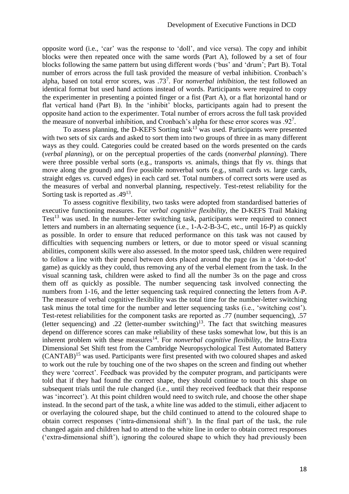opposite word (i.e., 'car' was the response to 'doll', and vice versa). The copy and inhibit blocks were then repeated once with the same words (Part A), followed by a set of four blocks following the same pattern but using different words ('bus' and 'drum'; Part B). Total number of errors across the full task provided the measure of verbal inhibition. Cronbach's alpha, based on total error scores, was .73<sup>7</sup> . For *nonverbal inhibition*, the test followed an identical format but used hand actions instead of words. Participants were required to copy the experimenter in presenting a pointed finger or a fist (Part A), or a flat horizontal hand or flat vertical hand (Part B). In the 'inhibit' blocks, participants again had to present the opposite hand action to the experimenter. Total number of errors across the full task provided the measure of nonverbal inhibition, and Cronbach's alpha for these error scores was .92<sup>7</sup>.

To assess planning, the D-KEFS Sorting task<sup>13</sup> was used. Participants were presented with two sets of six cards and asked to sort them into two groups of three in as many different ways as they could. Categories could be created based on the words presented on the cards (*verbal planning*), or on the perceptual properties of the cards (*nonverbal planning*). There were three possible verbal sorts (e.g., transports *vs.* animals, things that fly *vs*. things that move along the ground) and five possible nonverbal sorts (e.g., small cards *vs.* large cards, straight edges *vs.* curved edges) in each card set. Total numbers of correct sorts were used as the measures of verbal and nonverbal planning, respectively. Test-retest reliability for the Sorting task is reported as  $.49<sup>13</sup>$ .

To assess cognitive flexibility, two tasks were adopted from standardised batteries of executive functioning measures. For *verbal cognitive flexibility*, the D-KEFS Trail Making Test<sup>13</sup> was used. In the number-letter switching task, participants were required to connect letters and numbers in an alternating sequence (i.e., 1-A-2-B-3-C, etc., until 16-P) as quickly as possible. In order to ensure that reduced performance on this task was not caused by difficulties with sequencing numbers or letters, or due to motor speed or visual scanning abilities, component skills were also assessed. In the motor speed task, children were required to follow a line with their pencil between dots placed around the page (as in a 'dot-to-dot' game) as quickly as they could, thus removing any of the verbal element from the task. In the visual scanning task, children were asked to find all the number 3s on the page and cross them off as quickly as possible. The number sequencing task involved connecting the numbers from 1-16, and the letter sequencing task required connecting the letters from A-P. The measure of verbal cognitive flexibility was the total time for the number-letter switching task minus the total time for the number and letter sequencing tasks (i.e., 'switching cost'). Test-retest reliabilities for the component tasks are reported as .77 (number sequencing), .57 (letter sequencing) and .22 (letter-number switching)<sup>13</sup>. The fact that switching measures depend on difference scores can make reliability of these tasks somewhat low, but this is an inherent problem with these measures<sup>14</sup>. For *nonverbal cognitive flexibility*, the Intra-Extra Dimensional Set Shift test from the Cambridge Neuropsychological Test Automated Battery (CANTAB)<sup>15</sup> was used. Participants were first presented with two coloured shapes and asked to work out the rule by touching one of the two shapes on the screen and finding out whether they were 'correct'. Feedback was provided by the computer program, and participants were told that if they had found the correct shape, they should continue to touch this shape on subsequent trials until the rule changed (i.e., until they received feedback that their response was 'incorrect'). At this point children would need to switch rule, and choose the other shape instead. In the second part of the task, a white line was added to the stimuli, either adjacent to or overlaying the coloured shape, but the child continued to attend to the coloured shape to obtain correct responses ('intra-dimensional shift'). In the final part of the task, the rule changed again and children had to attend to the white line in order to obtain correct responses ('extra-dimensional shift'), ignoring the coloured shape to which they had previously been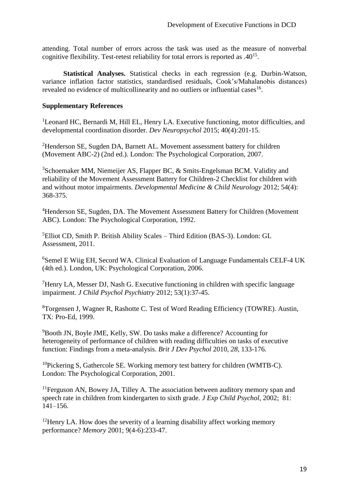attending. Total number of errors across the task was used as the measure of nonverbal cognitive flexibility. Test-retest reliability for total errors is reported as  $.40^{15}$ .

**Statistical Analyses.** Statistical checks in each regression (e.g. Durbin-Watson, variance inflation factor statistics, standardised residuals, Cook's/Mahalanobis distances) revealed no evidence of multicollinearity and no outliers or influential cases  $16$ .

## **Supplementary References**

<sup>1</sup>Leonard HC, Bernardi M, Hill EL, Henry LA. Executive functioning, motor difficulties, and developmental coordination disorder. *Dev Neuropsychol* 2015; 40(4):201-15.

<sup>2</sup>Henderson SE, Sugden DA, Barnett AL. Movement assessment battery for children (Movement ABC-2) (2nd ed.). London: The Psychological Corporation, 2007.

<sup>3</sup>Schoemaker MM, Niemeijer AS, Flapper BC, & Smits-Engelsman BCM. Validity and reliability of the Movement Assessment Battery for Children‐2 Checklist for children with and without motor impairments. *Developmental Medicine & Child Neurology* 2012; 54(4): 368-375.

<sup>4</sup>Henderson SE, Sugden, DA. The Movement Assessment Battery for Children (Movement) ABC). London: The Psychological Corporation, 1992.

<sup>5</sup>Elliot CD, Smith P. British Ability Scales – Third Edition (BAS-3). London: GL Assessment, 2011.

<sup>6</sup>Semel E Wiig EH, Secord WA. Clinical Evaluation of Language Fundamentals CELF-4 UK (4th ed.). London, UK: Psychological Corporation, 2006.

<sup>7</sup>Henry LA, Messer DJ, Nash G. Executive functioning in children with specific language impairment. *J Child Psychol Psychiatry* 2012; 53(1):37-45.

<sup>8</sup>Torgensen J, Wagner R, Rashotte C. Test of Word Reading Efficiency (TOWRE). Austin, TX: Pro-Ed, 1999.

<sup>9</sup>Booth JN, Boyle JME, Kelly, SW. Do tasks make a difference? Accounting for heterogeneity of performance of children with reading difficulties on tasks of executive function: Findings from a meta-analysis. *Brit J Dev Psychol* 2010*, 28,* 133-176.

 $10P$ ickering S, Gathercole SE. Working memory test battery for children (WMTB-C). London: The Psychological Corporation, 2001.

<sup>11</sup>Ferguson AN, Bowey JA, Tilley A. The association between auditory memory span and speech rate in children from kindergarten to sixth grade. *J Exp Child Psychol*, 2002; 81: 141–156.

 $12$ Henry LA. How does the severity of a learning disability affect working memory performance? *Memory* 2001; 9(4-6):233-47.